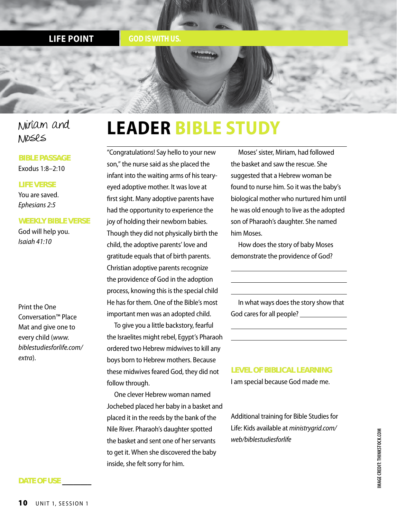#### **LIFE POINT** *GOD IS WITH US.*

#### Miriam and Moses

#### **BIBLE PASSAGE** Exodus 1:8–2:10

#### **LIFE VERSE**

You are saved. *Ephesians 2:5*

#### **WEEKLY BIBLE VERSE**

God will help you. *Isaiah 41:10*

Print the One Conversation™ Place Mat and give one to every child (*www. biblestudiesforlife.com/ extra*).

### **LEADER BIBLE STUDY**

"Congratulations! Say hello to your new son," the nurse said as she placed the infant into the waiting arms of his tearyeyed adoptive mother. It was love at first sight. Many adoptive parents have had the opportunity to experience the joy of holding their newborn babies. Though they did not physically birth the child, the adoptive parents' love and gratitude equals that of birth parents. Christian adoptive parents recognize the providence of God in the adoption process, knowing this is the special child He has for them. One of the Bible's most important men was an adopted child.

To give you a little backstory, fearful the Israelites might rebel, Egypt's Pharaoh ordered two Hebrew midwives to kill any boys born to Hebrew mothers. Because these midwives feared God, they did not follow through.

One clever Hebrew woman named Jochebed placed her baby in a basket and placed it in the reeds by the bank of the Nile River. Pharaoh's daughter spotted the basket and sent one of her servants to get it. When she discovered the baby inside, she felt sorry for him.

Moses' sister, Miriam, had followed the basket and saw the rescue. She suggested that a Hebrew woman be found to nurse him. So it was the baby's biological mother who nurtured him until he was old enough to live as the adopted son of Pharaoh's daughter. She named him Moses.

How does the story of baby Moses demonstrate the providence of God?

In what ways does the story show that God cares for all people?

**LEVEL OF BIBLICAL LEARNING**

I am special because God made me.

Additional training for Bible Studies for Life: Kids available at *ministrygrid.com/ web/biblestudiesforlife*

MAGE CREDIT: THINKSTOCK.COM **IMAGE CREDIT: THINKSTOCK.COM**

#### **DATE OF USE \_\_\_\_\_\_\_\_**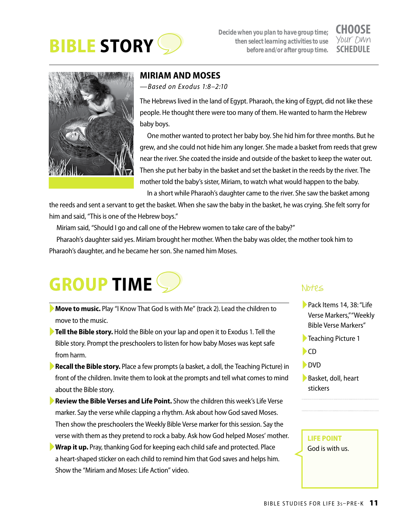

*Decide when you plan to have group time; then select learning activities to use before and/or after group time.*

## **CHOOSE**<br>Your DWn



#### **MIRIAM AND MOSES**

*—Based on Exodus 1:8–2:10*

The Hebrews lived in the land of Egypt. Pharaoh, the king of Egypt, did not like these people. He thought there were too many of them. He wanted to harm the Hebrew baby boys.

One mother wanted to protect her baby boy. She hid him for three months. But he grew, and she could not hide him any longer. She made a basket from reeds that grew near the river. She coated the inside and outside of the basket to keep the water out. Then she put her baby in the basket and set the basket in the reeds by the river. The mother told the baby's sister, Miriam, to watch what would happen to the baby.

In a short while Pharaoh's daughter came to the river. She saw the basket among

the reeds and sent a servant to get the basket. When she saw the baby in the basket, he was crying. She felt sorry for him and said, "This is one of the Hebrew boys."

Miriam said, "Should I go and call one of the Hebrew women to take care of the baby?"

Pharaoh's daughter said yes. Miriam brought her mother. When the baby was older, the mother took him to Pharaoh's daughter, and he became her son. She named him Moses.



- ►**Move to music.** Play "I Know That God Is with Me" (track 2). Lead the children to move to the music.
- ►**Tell the Bible story.** Hold the Bible on your lap and open it to Exodus 1. Tell the Bible story. Prompt the preschoolers to listen for how baby Moses was kept safe from harm.
- ►**Recall the Bible story.** Place a few prompts (a basket, a doll, the Teaching Picture) in front of the children. Invite them to look at the prompts and tell what comes to mind about the Bible story.
- ►**Review the Bible Verses and Life Point.** Show the children this week's Life Verse marker. Say the verse while clapping a rhythm. Ask about how God saved Moses. Then show the preschoolers the Weekly Bible Verse marker for this session. Say the verse with them as they pretend to rock a baby. Ask how God helped Moses' mother.
- ►**Wrap it up.** Pray, thanking God for keeping each child safe and protected. Place a heart-shaped sticker on each child to remind him that God saves and helps him. Show the "Miriam and Moses: Life Action" video.

#### Notes

- ►Pack Items 14, 38: "Life Verse Markers," "Weekly Bible Verse Markers"
- ►Teaching Picture 1
- $\blacktriangleright$ CD
- ►DVD
- ►Basket, doll, heart stickers

#### **LIFE POINT** God is with us.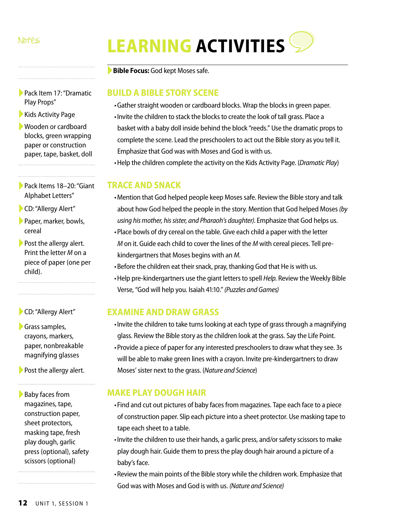## Notes **LEARNING ACTIVITIES**

►**Bible Focus:** God kept Moses safe.

#### **BUILD A BIBLE STORY SCENE**

- •Gather straight wooden or cardboard blocks. Wrap the blocks in green paper.
- •Invite the children to stack the blocks to create the look of tall grass. Place a basket with a baby doll inside behind the block "reeds." Use the dramatic props to complete the scene. Lead the preschoolers to act out the Bible story as you tell it. Emphasize that God was with Moses and God is with us.
- •Help the children complete the activity on the Kids Activity Page. (*Dramatic Play*)

#### **TRACE AND SNACK**

- •Mention that God helped people keep Moses safe. Review the Bible story and talk about how God helped the people in the story. Mention that God helped Moses *(by using his mother, his sister, and Pharaoh's daughter)*. Emphasize that God helps us.
- •Place bowls of dry cereal on the table. Give each child a paper with the letter *M* on it. Guide each child to cover the lines of the *M* with cereal pieces. Tell prekindergartners that Moses begins with an *M.*
- •Before the children eat their snack, pray, thanking God that He is with us.
- •Help pre-kindergartners use the giant letters to spell *Help.* Review the Weekly Bible Verse, "God will help you. Isaiah 41:10." *(Puzzles and Games)*

#### **EXAMINE AND DRAW GRASS**

- •Invite the children to take turns looking at each type of grass through a magnifying glass. Review the Bible story as the children look at the grass. Say the Life Point.
- •Provide a piece of paper for any interested preschoolers to draw what they see. 3s will be able to make green lines with a crayon. Invite pre-kindergartners to draw Moses' sister next to the grass. (*Nature and Science*)

#### **MAKE PLAY DOUGH HAIR**

- •Find and cut out pictures of baby faces from magazines. Tape each face to a piece of construction paper. Slip each picture into a sheet protector. Use masking tape to tape each sheet to a table.
- •Invite the children to use their hands, a garlic press, and/or safety scissors to make play dough hair. Guide them to press the play dough hair around a picture of a baby's face.
- •Review the main points of the Bible story while the children work. Emphasize that God was with Moses and God is with us. *(Nature and Science)*
- ►Pack Item 17: "Dramatic Play Props"
- ▶ Kids Activity Page
- ►Wooden or cardboard blocks, green wrapping paper or construction paper, tape, basket, doll
- ►Pack Items 18–20: "Giant Alphabet Letters"
- ►CD: "Allergy Alert"
- ▶ Paper, marker, bowls, cereal

▶ Post the allergy alert. Print the letter *M* on a piece of paper (one per child).

►CD: "Allergy Alert"

►Grass samples, crayons, markers, paper, nonbreakable magnifying glasses

▶ Post the allergy alert.

▶Baby faces from magazines, tape, construction paper, sheet protectors, masking tape, fresh play dough, garlic press (optional), safety scissors (optional)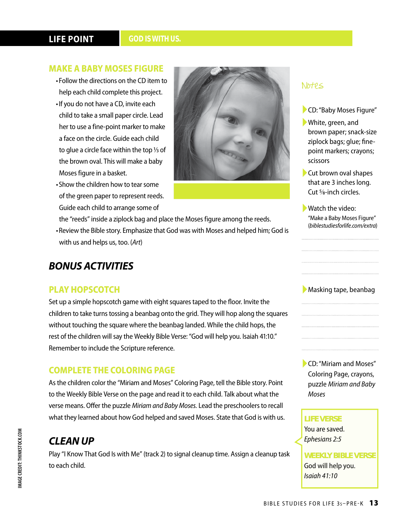#### **LIFE POINT**

#### **MAKE A BABY MOSES FIGURE**

- •Follow the directions on the CD item to help each child complete this project.
- •If you do not have a CD, invite each child to take a small paper circle. Lead her to use a fine-point marker to make a face on the circle. Guide each child to glue a circle face within the top  $\frac{1}{3}$  of the brown oval. This will make a baby Moses figure in a basket.
- •Show the children how to tear some of the green paper to represent reeds. Guide each child to arrange some of



- the "reeds" inside a ziplock bag and place the Moses figure among the reeds.
- •Review the Bible story. Emphasize that God was with Moses and helped him; God is with us and helps us, too. (*Art*)

#### *BONUS ACTIVITIES*

#### **PLAY HOPSCOTCH**

Set up a simple hopscotch game with eight squares taped to the floor. Invite the children to take turns tossing a beanbag onto the grid. They will hop along the squares without touching the square where the beanbag landed. While the child hops, the rest of the children will say the Weekly Bible Verse: "God will help you. Isaiah 41:10." Remember to include the Scripture reference.

#### **COMPLETE THE COLORING PAGE**

As the children color the "Miriam and Moses" Coloring Page, tell the Bible story. Point to the Weekly Bible Verse on the page and read it to each child. Talk about what the verse means. Offer the puzzle *Miriam and Baby Moses.* Lead the preschoolers to recall what they learned about how God helped and saved Moses. State that God is with us.

#### *CLEAN UP*

Play "I Know That God Is with Me" (track 2) to signal cleanup time. Assign a cleanup task to each child.

#### Notes

- ►CD: "Baby Moses Figure"
- ►White, green, and brown paper; snack-size ziplock bags; glue; finepoint markers; crayons; scissors
- ►Cut brown oval shapes that are 3 inches long. Cut 5⁄8-inch circles.
- ►Watch the video: "Make a Baby Moses Figure" (*biblestudiesforlife.com/extra*)

#### ▶ Masking tape, beanbag

►CD: "Miriam and Moses" Coloring Page, crayons, puzzle *Miriam and Baby Moses*

#### **LIFE VERSE**

You are saved. *Ephesians 2:5*

**WEEKLY BIBLE VERSE** God will help you. *Isaiah 41:10*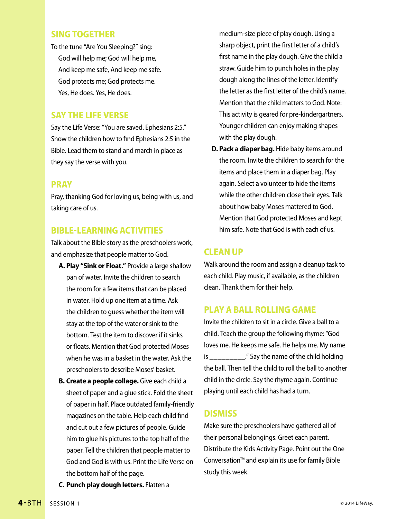#### **SING TOGETHER**

To the tune "Are You Sleeping?" sing: God will help me; God will help me, And keep me safe, And keep me safe. God protects me; God protects me. Yes, He does. Yes, He does.

#### **SAY THE LIFE VERSE**

Say the Life Verse: "You are saved. Ephesians 2:5." Show the children how to find Ephesians 2:5 in the Bible. Lead them to stand and march in place as they say the verse with you.

#### **PRAY**

Pray, thanking God for loving us, being with us, and taking care of us.

#### **BIBLE-LEARNING ACTIVITIES**

Talk about the Bible story as the preschoolers work, and emphasize that people matter to God.

- **A. Play "Sink or Float."** Provide a large shallow pan of water. Invite the children to search the room for a few items that can be placed in water. Hold up one item at a time. Ask the children to guess whether the item will stay at the top of the water or sink to the bottom. Test the item to discover if it sinks or floats. Mention that God protected Moses when he was in a basket in the water. Ask the preschoolers to describe Moses' basket.
- **B. Create a people collage.** Give each child a sheet of paper and a glue stick. Fold the sheet of paper in half. Place outdated family-friendly magazines on the table. Help each child find and cut out a few pictures of people. Guide him to glue his pictures to the top half of the paper. Tell the children that people matter to God and God is with us. Print the Life Verse on the bottom half of the page.
- **C. Punch play dough letters.** Flatten a

medium-size piece of play dough. Using a sharp object, print the first letter of a child's first name in the play dough. Give the child a straw. Guide him to punch holes in the play dough along the lines of the letter. Identify the letter as the first letter of the child's name. Mention that the child matters to God. Note: This activity is geared for pre-kindergartners. Younger children can enjoy making shapes with the play dough.

**D. Pack a diaper bag.** Hide baby items around the room. Invite the children to search for the items and place them in a diaper bag. Play again. Select a volunteer to hide the items while the other children close their eyes. Talk about how baby Moses mattered to God. Mention that God protected Moses and kept him safe. Note that God is with each of us.

#### **CLEAN UP**

Walk around the room and assign a cleanup task to each child. Play music, if available, as the children clean. Thank them for their help.

#### **PLAY A BALL ROLLING GAME**

Invite the children to sit in a circle. Give a ball to a child. Teach the group the following rhyme: "God loves me. He keeps me safe. He helps me. My name is \_\_\_\_\_\_\_\_\_." Say the name of the child holding the ball. Then tell the child to roll the ball to another child in the circle. Say the rhyme again. Continue playing until each child has had a turn.

#### **DISMISS**

Make sure the preschoolers have gathered all of their personal belongings. Greet each parent. Distribute the Kids Activity Page. Point out the One Conversation™ and explain its use for family Bible study this week.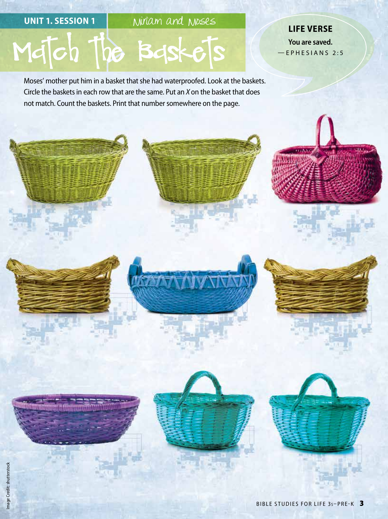UNIT 1. SESSION 1 Miriam and Moses

TVVT

# Match the Baskets

Moses' mother put him in a basket that she had waterproofed. Look at the baskets. Circle the baskets in each row that are the same. Put an *X* on the basket that does not match. Count the baskets. Print that number somewhere on the page.

**LIFE VERSE You are saved.** —EPHESIANS 2:5